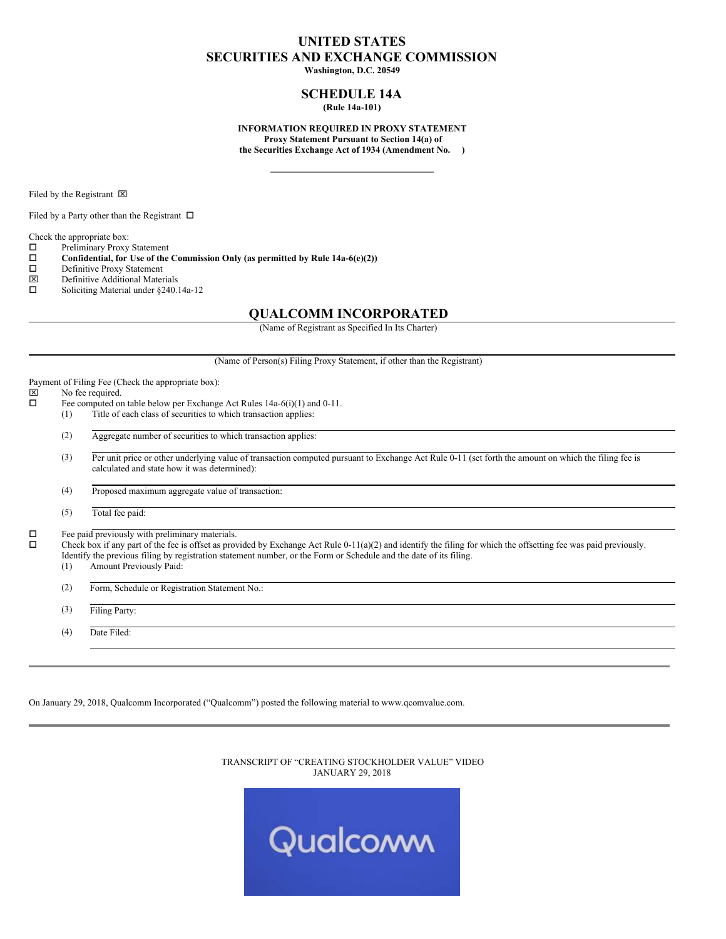# **UNITED STATES SECURITIES AND EXCHANGE COMMISSION**

**Washington, D.C. 20549**

## **SCHEDULE 14A (Rule 14a-101)**

**INFORMATION REQUIRED IN PROXY STATEMENT Proxy Statement Pursuant to Section 14(a) of the Securities Exchange Act of 1934 (Amendment No. )**

Filed by the Registrant  $\boxtimes$ 

Filed by a Party other than the Registrant  $\Box$ 

Check the appropriate box:<br> $\square$  Preliminary Proxy

 $\square$  Preliminary Proxy Statement<br> $\square$  Confidential, for Use of the

o **Confidential, for Use of the Commission Only (as permitted by Rule 14a-6(e)(2))**

 $\square$  Definitive Proxy Statement<br> $\square$  Definitive Additional Mater

- Definitive Additional Materials
- $\square$  Soliciting Material under §240.14a-12

## **QUALCOMM INCORPORATED**

(Name of Registrant as Specified In Its Charter)

(Name of Person(s) Filing Proxy Statement, if other than the Registrant)

Payment of Filing Fee (Check the appropriate box):<br> $|\overline{x}|$  No fee required

 $\boxtimes$  No fee required.<br> $\Box$  Fee computed or

- Fee computed on table below per Exchange Act Rules 14a-6(i)(1) and 0-11.
- (1) Title of each class of securities to which transaction applies:
- (2) Aggregate number of securities to which transaction applies:
- (3) Per unit price or other underlying value of transaction computed pursuant to Exchange Act Rule 0-11 (set forth the amount on which the filing fee is calculated and state how it was determined):
- (4) Proposed maximum aggregate value of transaction:

(5) Total fee paid:

 $\square$  Fee paid previously with preliminary materials.<br> $\square$  Check box if any part of the fee is offset as prov

Check box if any part of the fee is offset as provided by Exchange Act Rule 0-11(a)(2) and identify the filing for which the offsetting fee was paid previously. Identify the previous filing by registration statement number, or the Form or Schedule and the date of its filing.

(1) Amount Previously Paid:

(2) Form, Schedule or Registration Statement No.:

(3) Filing Party:

(4) Date Filed:

On January 29, 2018, Qualcomm Incorporated ("Qualcomm") posted the following material to www.qcomvalue.com.

TRANSCRIPT OF "CREATING STOCKHOLDER VALUE" VIDEO JANUARY 29, 2018

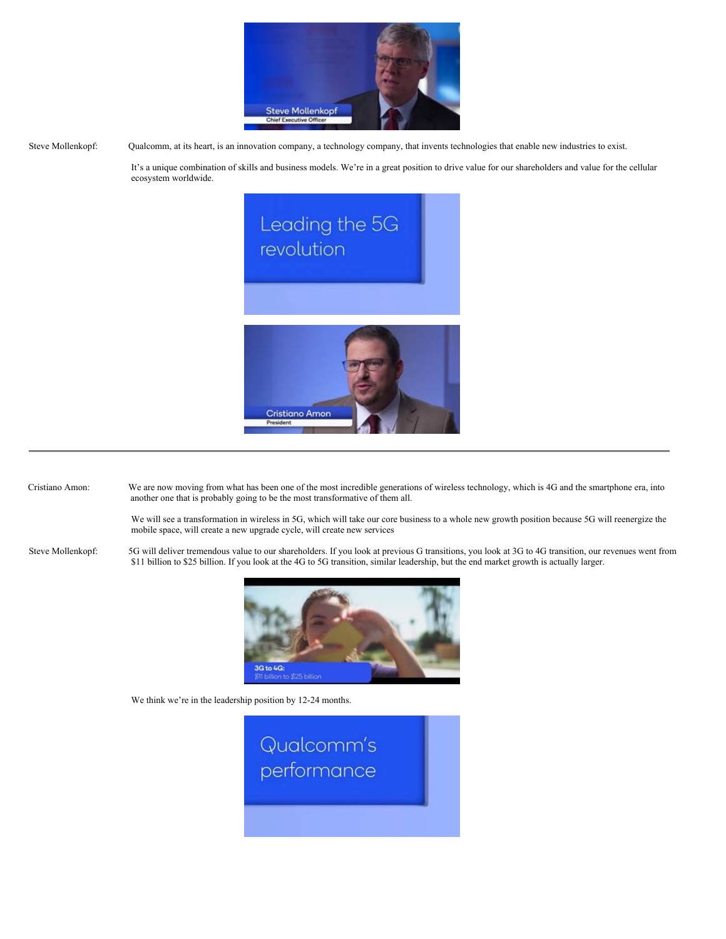

Steve Mollenkopf: Qualcomm, at its heart, is an innovation company, a technology company, that invents technologies that enable new industries to exist.

It's a unique combination of skills and business models. We're in a great position to drive value for our shareholders and value for the cellular ecosystem worldwide.



Cristiano Amon: We are now moving from what has been one of the most incredible generations of wireless technology, which is 4G and the smartphone era, into another one that is probably going to be the most transformative of them all.

> We will see a transformation in wireless in 5G, which will take our core business to a whole new growth position because 5G will reenergize the mobile space, will create a new upgrade cycle, will create new services

Steve Mollenkopf: 5G will deliver tremendous value to our shareholders. If you look at previous G transitions, you look at 3G to 4G transition, our revenues went from \$11 billion to \$25 billion. If you look at the 4G to 5G transition, similar leadership, but the end market growth is actually larger.



We think we're in the leadership position by 12-24 months.

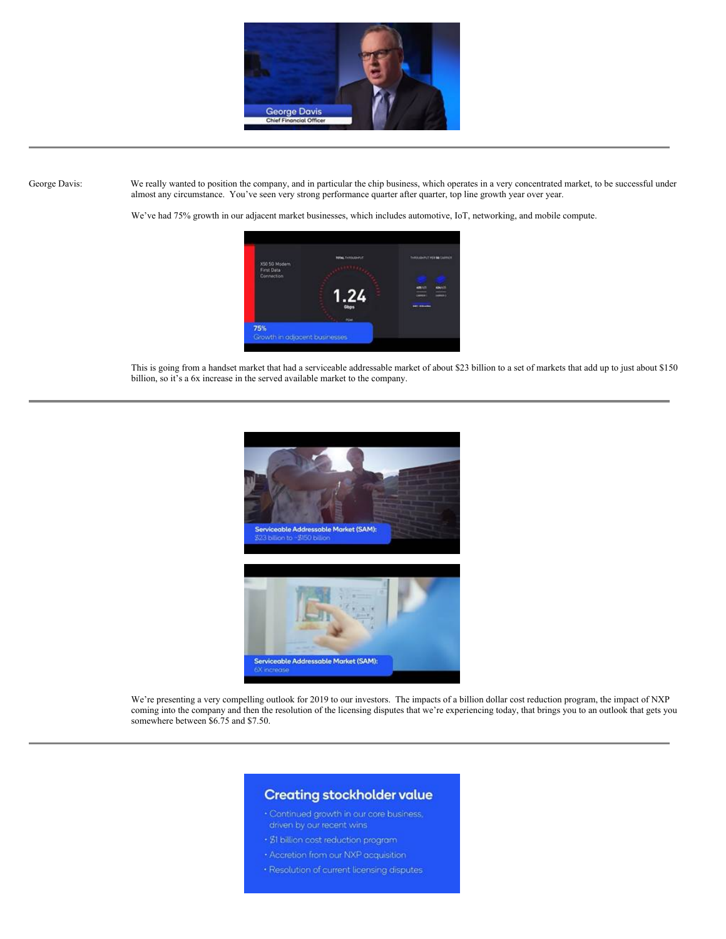

George Davis: We really wanted to position the company, and in particular the chip business, which operates in a very concentrated market, to be successful under almost any circumstance. You've seen very strong performance quarter after quarter, top line growth year over year.

We've had 75% growth in our adjacent market businesses, which includes automotive, IoT, networking, and mobile compute.



This is going from a handset market that had a serviceable addressable market of about \$23 billion to a set of markets that add up to just about \$150 billion, so it's a 6x increase in the served available market to the company.



We're presenting a very compelling outlook for 2019 to our investors. The impacts of a billion dollar cost reduction program, the impact of NXP coming into the company and then the resolution of the licensing disputes that we're experiencing today, that brings you to an outlook that gets you somewhere between \$6.75 and \$7.50.

# **Creating stockholder value**

- · Continued growth in our core business,
- · \$1 billion cost reduction program
- 
- · Resolution of current licensing disputes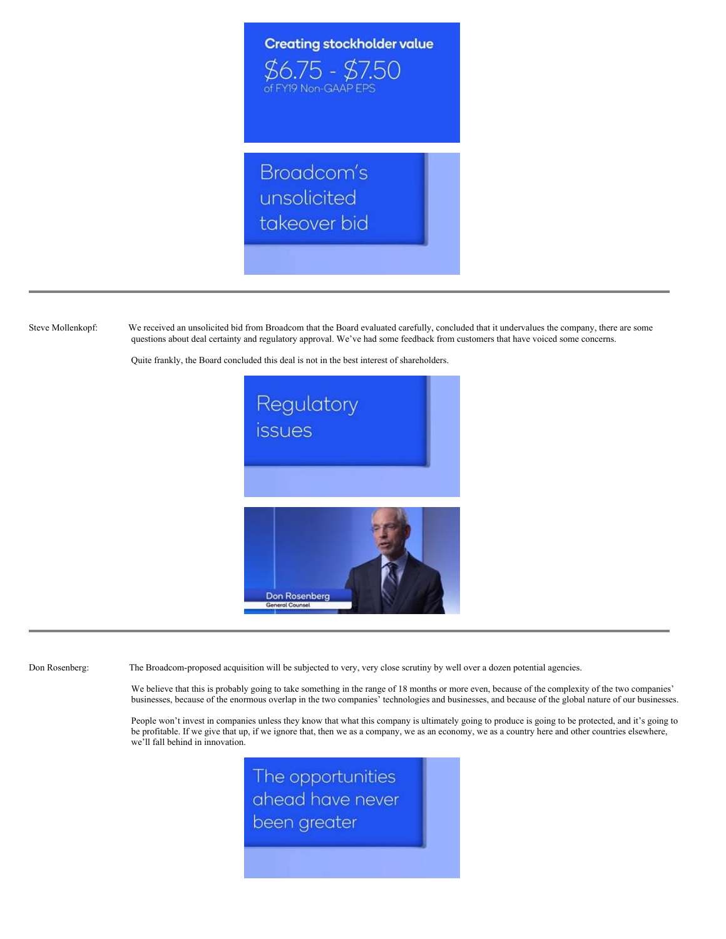

Steve Mollenkopf: We received an unsolicited bid from Broadcom that the Board evaluated carefully, concluded that it undervalues the company, there are some questions about deal certainty and regulatory approval. We've had some feedback from customers that have voiced some concerns.

Quite frankly, the Board concluded this deal is not in the best interest of shareholders.



Don Rosenberg: The Broadcom-proposed acquisition will be subjected to very, very close scrutiny by well over a dozen potential agencies.

We believe that this is probably going to take something in the range of 18 months or more even, because of the complexity of the two companies' businesses, because of the enormous overlap in the two companies' technologies and businesses, and because of the global nature of our businesses.

People won't invest in companies unless they know that what this company is ultimately going to produce is going to be protected, and it's going to be profitable. If we give that up, if we ignore that, then we as a company, we as an economy, we as a country here and other countries elsewhere, we'll fall behind in innovation.

> The opportunities ahead have never been greater